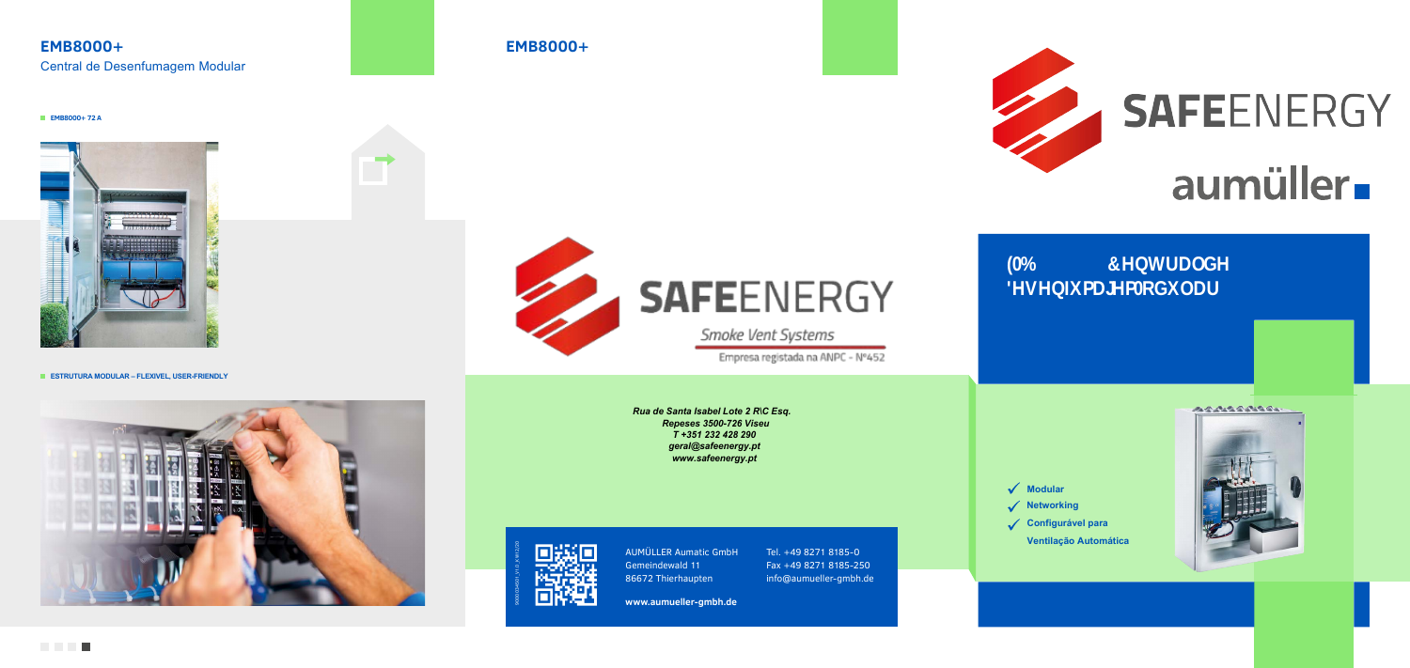# **EMB8000+** Central de Desenfumagem Modular

## **EMB8000+**

#### **EMB8000+ 72 A**



**ESTRUTURA MODULAR – FLEXIVEL, USER-FRIENDLY**





**www.aumueller-gmbh.de**



# **SAFEENERGY**

Smoke Vent Systems

Empresa registada na ANPC - Nº452

AUMÜLLER Aumatic GmbH Gemeindewald 11 86672 Thierhaupten

Tel. +49 8271 8185-0 Fax +49 8271 8185-250 info@aumueller-gmbh.de



9000034501\_V1.0\_KW12/20





- **Networking**
- **Configurável para**
	- **Ventilação Automática**



*Rua de Santa Isabel Lote 2 R\C Esq. Repeses 3500-726 Viseu T +351 232 428 290 geral@safeenergy.pt www.safeenergy.pt*